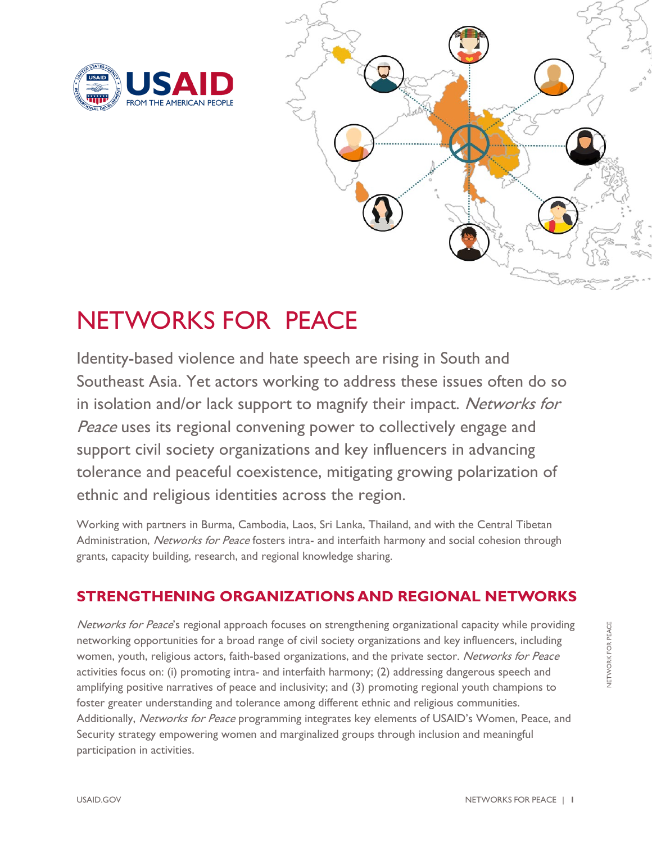



# NETWORKS FOR PEACE

Identity-based violence and hate speech are rising in South and Southeast Asia. Yet actors working to address these issues often do so in isolation and/or lack support to magnify their impact. Networks for Peace uses its regional convening power to collectively engage and support civil society organizations and key influencers in advancing tolerance and peaceful coexistence, mitigating growing polarization of ethnic and religious identities across the region.

Working with partners in Burma, Cambodia, Laos, Sri Lanka, Thailand, and with the Central Tibetan Administration, Networks for Peace fosters intra- and interfaith harmony and social cohesion through grants, capacity building, research, and regional knowledge sharing.

## **STRENGTHENING ORGANIZATIONS AND REGIONAL NETWORKS**

Networks for Peace's regional approach focuses on strengthening organizational capacity while providing networking opportunities for a broad range of civil society organizations and key influencers, including women, youth, religious actors, faith-based organizations, and the private sector. Networks for Peace activities focus on: (i) promoting intra- and interfaith harmony; (2) addressing dangerous speech and amplifying positive narratives of peace and inclusivity; and (3) promoting regional youth champions to foster greater understanding and tolerance among different ethnic and religious communities. Additionally, Networks for Peace programming integrates key elements of USAID's Women, Peace, and Security strategy empowering women and marginalized groups through inclusion and meaningful participation in activities.